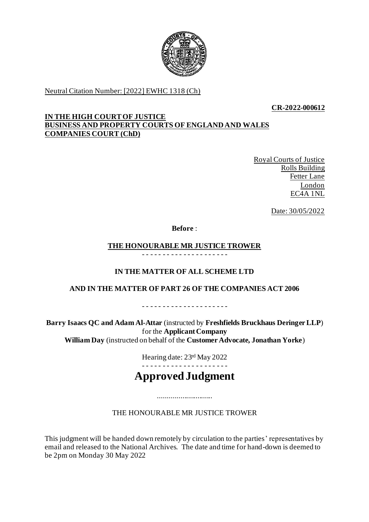

Neutral Citation Number: [2022] EWHC 1318 (Ch)

**CR-2022-000612**

## **IN THE HIGH COURT OF JUSTICE BUSINESS AND PROPERTY COURTS OF ENGLAND AND WALES COMPANIES COURT (ChD)**

Royal Courts of Justice Rolls Building Fetter Lane London EC4A 1NL

Date: 30/05/2022

**Before** :

#### **THE HONOURABLE MR JUSTICE TROWER** - - - - - - - - - - - - - - - - - - - - -

# **IN THE MATTER OF ALL SCHEME LTD**

# **AND IN THE MATTER OF PART 26 OF THE COMPANIES ACT 2006**

- - - - - - - - - - - - - - - - - - - - -

**Barry Isaacs QC and Adam Al-Attar** (instructed by **Freshfields Bruckhaus Deringer LLP**) for the **Applicant Company William Day** (instructed on behalf of the **Customer Advocate, Jonathan Yorke**)

Hearing date: 23rd May 2022

# **Approved Judgment**

.............................

THE HONOURABLE MR JUSTICE TROWER

This judgment will be handed down remotely by circulation to the parties' representatives by email and released to the National Archives. The date and time for hand-down is deemed to be 2pm on Monday 30 May 2022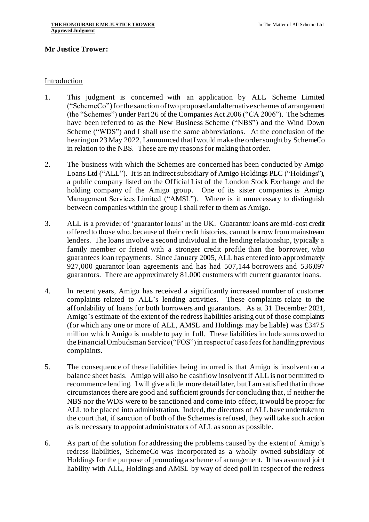## **Mr Justice Trower:**

### Introduction

- 1. This judgment is concerned with an application by ALL Scheme Limited ("SchemeCo")for the sanction of two proposed and alternative schemes of arrangement (the "Schemes") under Part 26 of the Companies Act 2006 ("CA 2006"). The Schemes have been referred to as the New Business Scheme ("NBS") and the Wind Down Scheme ("WDS") and I shall use the same abbreviations. At the conclusion of the hearing on 23 May 2022, I announced that I would make the order sought by SchemeCo in relation to the NBS. These are my reasons for making that order.
- 2. The business with which the Schemes are concerned has been conducted by Amigo Loans Ltd ("ALL"). It is an indirect subsidiary of Amigo Holdings PLC ("Holdings"), a public company listed on the Official List of the London Stock Exchange and the holding company of the Amigo group. One of its sister companies is Amigo Management Services Limited ("AMSL"). Where is it unnecessary to distinguish between companies within the group I shall refer to them as Amigo.
- 3. ALL is a provider of 'guarantor loans' in the UK. Guarantor loans are mid-cost credit offered to those who, because of their credit histories, cannot borrow from mainstream lenders. The loans involve a second individual in the lending relationship, typically a family member or friend with a stronger credit profile than the borrower, who guarantees loan repayments. Since January 2005, ALL has entered into approximately 927,000 guarantor loan agreements and has had 507,144 borrowers and 536,097 guarantors. There are approximately 81,000 customers with current guarantor loans.
- 4. In recent years, Amigo has received a significantly increased number of customer complaints related to ALL's lending activities. These complaints relate to the affordability of loans for both borrowers and guarantors. As at 31 December 2021, Amigo's estimate of the extent of the redress liabilities arising out of those complaints (for which any one or more of ALL, AMSL and Holdings may be liable) was £347.5 million which Amigo is unable to pay in full. These liabilities include sums owed to the Financial Ombudsman Service ("FOS") in respect of case fees for handling previous complaints.
- 5. The consequence of these liabilities being incurred is that Amigo is insolvent on a balance sheet basis. Amigo will also be cashflow insolvent if ALL is not permitted to recommence lending. I will give a little more detail later, but I am satisfied that in those circumstances there are good and sufficient grounds for concluding that, if neither the NBS nor the WDS were to be sanctioned and come into effect, it would be proper for ALL to be placed into administration. Indeed, the directors of ALL have undertaken to the court that, if sanction of both of the Schemes is refused, they will take such action as is necessary to appoint administrators of ALL as soon as possible.
- 6. As part of the solution for addressing the problems caused by the extent of Amigo's redress liabilities, SchemeCo was incorporated as a wholly owned subsidiary of Holdings for the purpose of promoting a scheme of arrangement. It has assumed joint liability with ALL, Holdings and AMSL by way of deed poll in respect of the redress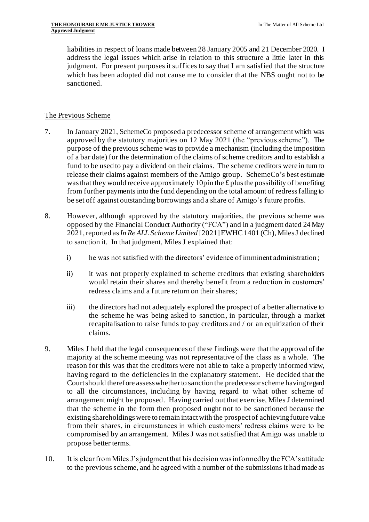liabilities in respect of loans made between 28 January 2005 and 21 December 2020. I address the legal issues which arise in relation to this structure a little later in this judgment. For present purposes it suffices to say that I am satisfied that the structure which has been adopted did not cause me to consider that the NBS ought not to be sanctioned.

## The Previous Scheme

- 7. In January 2021, SchemeCo proposed a predecessor scheme of arrangement which was approved by the statutory majorities on 12 May 2021 (the "previous scheme"). The purpose of the previous scheme was to provide a mechanism (including the imposition of a bar date) for the determination of the claims of scheme creditors and to establish a fund to be used to pay a dividend on their claims. The scheme creditors were in turn to release their claims against members of the Amigo group. SchemeCo's best estimate was that they would receive approximately 10p in the  $\pounds$  plus the possibility of benefiting from further payments into the fund depending on the total amount of redress falling to be set off against outstanding borrowings and a share of Amigo's future profits.
- 8. However, although approved by the statutory majorities, the previous scheme was opposed by the Financial Conduct Authority ("FCA") and in a judgment dated 24 May 2021,reported as*In Re ALL Scheme Limited* [2021] EWHC 1401 (Ch), Miles J declined to sanction it. In that judgment, Miles J explained that:
	- i) he was not satisfied with the directors' evidence of imminent administration;
	- ii) it was not properly explained to scheme creditors that existing shareholders would retain their shares and thereby benefit from a reduction in customers' redress claims and a future return on their shares;
	- iii) the directors had not adequately explored the prospect of a better alternative to the scheme he was being asked to sanction, in particular, through a market recapitalisation to raise funds to pay creditors and / or an equitization of their claims.
- 9. Miles J held that the legal consequences of these findings were that the approval of the majority at the scheme meeting was not representative of the class as a whole. The reason for this was that the creditors were not able to take a properly informed view, having regard to the deficiencies in the explanatory statement. He decided that the Court should therefore assess whether to sanction the predecessor scheme having regard to all the circumstances, including by having regard to what other scheme of arrangement might be proposed. Having carried out that exercise, Miles J determined that the scheme in the form then proposed ought not to be sanctioned because the existing shareholdings were to remain intact with the prospect of achieving future value from their shares, in circumstances in which customers' redress claims were to be compromised by an arrangement. Miles J was not satisfied that Amigo was unable to propose better terms.
- 10. It is clear from Miles J's judgment that his decision was informed by the FCA's attitude to the previous scheme, and he agreed with a number of the submissions it had made as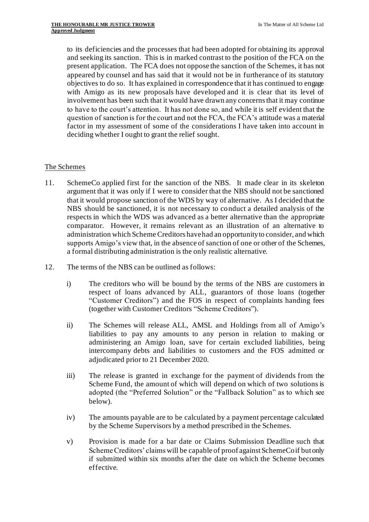to its deficiencies and the processes that had been adopted for obtaining its approval and seeking its sanction. This is in marked contrast to the position of the FCA on the present application. The FCA does not oppose the sanction of the Schemes, it has not appeared by counsel and has said that it would not be in furtherance of its statutory objectives to do so. It has explained in correspondence that it has continued to engage with Amigo as its new proposals have developed and it is clear that its level of involvement has been such that it would have drawn any concerns that it may continue to have to the court's attention. It has not done so, and while it is self evident that the question of sanction is for the court and not the FCA, the FCA's attitude was a material factor in my assessment of some of the considerations I have taken into account in deciding whether I ought to grant the relief sought.

## The Schemes

- 11. SchemeCo applied first for the sanction of the NBS. It made clear in its skeleton argument that it was only if I were to consider that the NBS should not be sanctioned that it would propose sanction of the WDS by way of alternative. As I decided that the NBS should be sanctioned, it is not necessary to conduct a detailed analysis of the respects in which the WDS was advanced as a better alternative than the appropriate comparator. However, it remains relevant as an illustration of an alternative to administration which Scheme Creditors have had an opportunity to consider, and which supports Amigo's view that, in the absence of sanction of one or other of the Schemes, a formal distributing administration is the only realistic alternative.
- 12. The terms of the NBS can be outlined as follows:
	- i) The creditors who will be bound by the terms of the NBS are customers in respect of loans advanced by ALL, guarantors of those loans (together "Customer Creditors") and the FOS in respect of complaints handing fees (together with Customer Creditors "Scheme Creditors").
	- ii) The Schemes will release ALL, AMSL and Holdings from all of Amigo's liabilities to pay any amounts to any person in relation to making or administering an Amigo loan, save for certain excluded liabilities, being intercompany debts and liabilities to customers and the FOS admitted or adjudicated prior to 21 December 2020.
	- iii) The release is granted in exchange for the payment of dividends from the Scheme Fund, the amount of which will depend on which of two solutions is adopted (the "Preferred Solution" or the "Fallback Solution" as to which see below).
	- iv) The amounts payable are to be calculated by a payment percentage calculated by the Scheme Supervisors by a method prescribed in the Schemes.
	- v) Provision is made for a bar date or Claims Submission Deadline such that Scheme Creditors' claims will be capable of proof against SchemeCo if but only if submitted within six months after the date on which the Scheme becomes effective.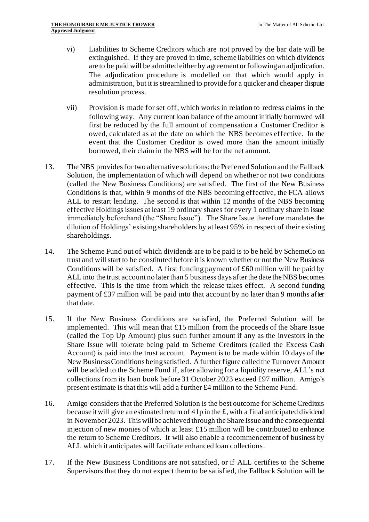- vi) Liabilities to Scheme Creditors which are not proved by the bar date will be extinguished. If they are proved in time, scheme liabilities on which dividends are to be paid will be admitted either by agreement or following an adjudication. The adjudication procedure is modelled on that which would apply in administration, but it is streamlined to provide for a quicker and cheaper dispute resolution process.
- vii) Provision is made for set off, which works in relation to redress claims in the following way. Any current loan balance of the amount initially borrowed will first be reduced by the full amount of compensation a Customer Creditor is owed, calculated as at the date on which the NBS becomes effective. In the event that the Customer Creditor is owed more than the amount initially borrowed, their claim in the NBS will be for the net amount.
- 13. The NBS provides for two alternative solutions:the Preferred Solution and the Fallback Solution, the implementation of which will depend on whether or not two conditions (called the New Business Conditions) are satisfied. The first of the New Business Conditions is that, within 9 months of the NBS becoming effective, the FCA allows ALL to restart lending. The second is that within 12 months of the NBS becoming effective Holdings issues at least 19 ordinary shares for every 1 ordinary share in issue immediately beforehand (the "Share Issue"). The Share Issue therefore mandates the dilution of Holdings' existing shareholders by at least 95% in respect of their existing shareholdings.
- 14. The Scheme Fund out of which dividends are to be paid is to be held by SchemeCo on trust and will start to be constituted before it is known whether or not the New Business Conditions will be satisfied. A first funding payment of £60 million will be paid by ALL into the trust account no later than 5 business days after the date the NBS becomes effective. This is the time from which the release takes effect. A second funding payment of £37 million will be paid into that account by no later than 9 months after that date.
- 15. If the New Business Conditions are satisfied, the Preferred Solution will be implemented. This will mean that £15 million from the proceeds of the Share Issue (called the Top Up Amount) plus such further amount if any as the investors in the Share Issue will tolerate being paid to Scheme Creditors (called the Excess Cash Account) is paid into the trust account. Payment is to be made within 10 days of the New Business Conditions being satisfied. A further figure called the Turnover Amount will be added to the Scheme Fund if, after allowing for a liquidity reserve, ALL's net collections from its loan book before 31 October 2023 exceed £97 million. Amigo's present estimate is that this will add a further £4 million to the Scheme Fund.
- 16. Amigo considers that the Preferred Solution is the best outcome for Scheme Creditors because it will give an estimated return of 41p in the £, with a final anticipated dividend in November 2023. This will be achieved through the Share Issue and the consequential injection of new monies of which at least  $£15$  million will be contributed to enhance the return to Scheme Creditors. It will also enable a recommencement of business by ALL which it anticipates will facilitate enhanced loan collections.
- 17. If the New Business Conditions are not satisfied, or if ALL certifies to the Scheme Supervisors that they do not expect them to be satisfied, the Fallback Solution will be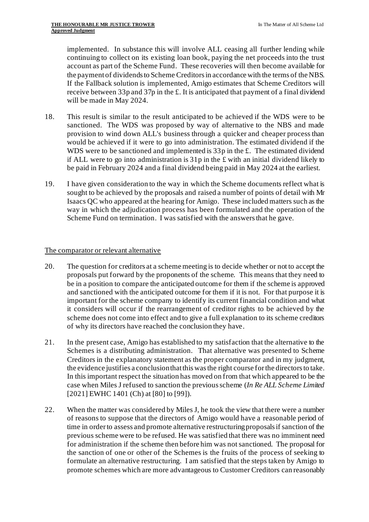implemented. In substance this will involve ALL ceasing all further lending while continuing to collect on its existing loan book, paying the net proceeds into the trust account as part of the Scheme Fund. These recoveries will then become available for the payment of dividends to Scheme Creditors in accordance with the terms of the NBS. If the Fallback solution is implemented, Amigo estimates that Scheme Creditors will receive between 33p and 37p in the £. It is anticipated that payment of a final dividend will be made in May 2024.

- 18. This result is similar to the result anticipated to be achieved if the WDS were to be sanctioned. The WDS was proposed by way of alternative to the NBS and made provision to wind down ALL's business through a quicker and cheaper process than would be achieved if it were to go into administration. The estimated dividend if the WDS were to be sanctioned and implemented is 33p in the £. The estimated dividend if ALL were to go into administration is  $31p$  in the £ with an initial dividend likely to be paid in February 2024 and a final dividend being paid in May 2024 at the earliest.
- 19. I have given consideration to the way in which the Scheme documents reflect what is sought to be achieved by the proposals and raised a number of points of detail with Mr Isaacs QC who appeared at the hearing for Amigo. These included matters such as the way in which the adjudication process has been formulated and the operation of the Scheme Fund on termination. I was satisfied with the answers that he gave.

## The comparator or relevant alternative

- 20. The question for creditors at a scheme meeting is to decide whether or not to accept the proposals put forward by the proponents of the scheme. This means that they need to be in a position to compare the anticipated outcome for them if the scheme is approved and sanctioned with the anticipated outcome for them if it is not. For that purpose it is important for the scheme company to identify its current financial condition and what it considers will occur if the rearrangement of creditor rights to be achieved by the scheme does not come into effect and to give a full explanation to its scheme creditors of why its directors have reached the conclusion they have.
- 21. In the present case, Amigo has established to my satisfaction that the alternative to the Schemes is a distributing administration. That alternative was presented to Scheme Creditors in the explanatory statement as the proper comparator and in my judgment, the evidence justifies a conclusion that this was the right course for the directors to take. In this important respect the situation has moved on from that which appeared to be the case when Miles J refused to sanction the previous scheme (*In Re ALL Scheme Limited* [2021] EWHC 1401 (Ch) at [80] to [99]).
- 22. When the matter was considered by Miles J, he took the view that there were a number of reasons to suppose that the directors of Amigo would have a reasonable period of time in order to assess and promote alternative restructuring proposals if sanction of the previous scheme were to be refused. He was satisfied that there was no imminent need for administration if the scheme then before him was not sanctioned. The proposal for the sanction of one or other of the Schemes is the fruits of the process of seeking to formulate an alternative restructuring. I am satisfied that the steps taken by Amigo to promote schemes which are more advantageous to Customer Creditors can reasonably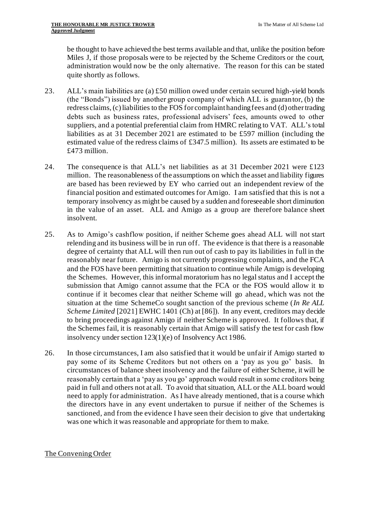be thought to have achieved the best terms available and that, unlike the position before Miles J, if those proposals were to be rejected by the Scheme Creditors or the court, administration would now be the only alternative. The reason for this can be stated quite shortly as follows.

- 23. ALL's main liabilities are (a)  $\text{\pounds}50$  million owed under certain secured high-yield bonds (the "Bonds") issued by another group company of which ALL is guarantor, (b) the redress claims,(c)liabilities to the FOS for complaint handing fees and (d) other trading debts such as business rates, professional advisers' fees, amounts owed to other suppliers, and a potential preferential claim from HMRC relating to VAT. ALL's total liabilities as at 31 December 2021 are estimated to be £597 million (including the estimated value of the redress claims of £347.5 million). Its assets are estimated to be £473 million.
- 24. The consequence is that ALL's net liabilities as at 31 December 2021 were £123 million. The reasonableness of the assumptions on which the asset and liability figures are based has been reviewed by EY who carried out an independent review of the financial position and estimated outcomes for Amigo. I am satisfied that this is not a temporary insolvency as might be caused by a sudden and foreseeable short diminution in the value of an asset. ALL and Amigo as a group are therefore balance sheet insolvent.
- 25. As to Amigo's cashflow position, if neither Scheme goes ahead ALL will not start relending and its business will be in run off. The evidence is that there is a reasonable degree of certainty that ALL will then run out of cash to pay its liabilities in full in the reasonably near future. Amigo is not currently progressing complaints, and the FCA and the FOS have been permitting that situation to continue while Amigo is developing the Schemes. However, this informal moratorium has no legal status and I accept the submission that Amigo cannot assume that the FCA or the FOS would allow it to continue if it becomes clear that neither Scheme will go ahead, which was not the situation at the time SchemeCo sought sanction of the previous scheme (*In Re ALL Scheme Limited* [2021] EWHC 1401 (Ch) at [86]). In any event, creditors may decide to bring proceedings against Amigo if neither Scheme is approved. It follows that, if the Schemes fail, it is reasonably certain that Amigo will satisfy the test for cash flow insolvency under section 123(1)(e) of Insolvency Act 1986.
- 26. In those circumstances, I am also satisfied that it would be unfair if Amigo started to pay some of its Scheme Creditors but not others on a 'pay as you go' basis. In circumstances of balance sheet insolvency and the failure of either Scheme, it will be reasonably certain that a 'pay as you go' approach would result in some creditors being paid in full and others not at all. To avoid that situation, ALL or the ALL board would need to apply for administration. As I have already mentioned, that is a course which the directors have in any event undertaken to pursue if neither of the Schemes is sanctioned, and from the evidence I have seen their decision to give that undertaking was one which it was reasonable and appropriate for them to make.

# The Convening Order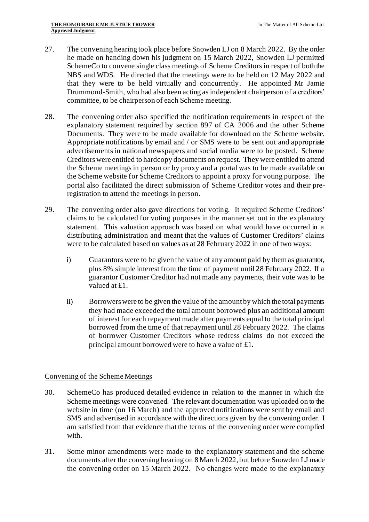- 27. The convening hearing took place before Snowden LJ on 8 March 2022. By the order he made on handing down his judgment on 15 March 2022, Snowden LJ permitted SchemeCo to convene single class meetings of Scheme Creditors in respect of both the NBS and WDS. He directed that the meetings were to be held on 12 May 2022 and that they were to be held virtually and concurrently. He appointed Mr Jamie Drummond-Smith, who had also been acting as independent chairperson of a creditors' committee, to be chairperson of each Scheme meeting.
- 28. The convening order also specified the notification requirements in respect of the explanatory statement required by section 897 of CA 2006 and the other Scheme Documents. They were to be made available for download on the Scheme website. Appropriate notifications by email and / or SMS were to be sent out and appropriate advertisements in national newspapers and social media were to be posted. Scheme Creditors were entitled to hardcopy documents on request. They were entitled to attend the Scheme meetings in person or by proxy and a portal was to be made available on the Scheme website for Scheme Creditors to appoint a proxy for voting purpose. The portal also facilitated the direct submission of Scheme Creditor votes and their preregistration to attend the meetings in person.
- 29. The convening order also gave directions for voting. It required Scheme Creditors' claims to be calculated for voting purposes in the manner set out in the explanatory statement. This valuation approach was based on what would have occurred in a distributing administration and meant that the values of Customer Creditors' claims were to be calculated based on values as at 28 February 2022 in one of two ways:
	- i) Guarantors were to be given the value of any amount paid by them as guarantor, plus 8% simple interest from the time of payment until 28 February 2022. If a guarantor Customer Creditor had not made any payments, their vote was to be valued at £1.
	- ii) Borrowers were to be given the value of the amount by which the total payments they had made exceeded the total amount borrowed plus an additional amount of interest for each repayment made after payments equal to the total principal borrowed from the time of that repayment until 28 February 2022. The claims of borrower Customer Creditors whose redress claims do not exceed the principal amount borrowed were to have a value of £1.

# Convening of the Scheme Meetings

- 30. SchemeCo has produced detailed evidence in relation to the manner in which the Scheme meetings were convened. The relevant documentation was uploaded on to the website in time (on 16 March) and the approved notifications were sent by email and SMS and advertised in accordance with the directions given by the convening order. I am satisfied from that evidence that the terms of the convening order were complied with.
- 31. Some minor amendments were made to the explanatory statement and the scheme documents after the convening hearing on 8 March 2022, but before Snowden LJ made the convening order on 15 March 2022. No changes were made to the explanatory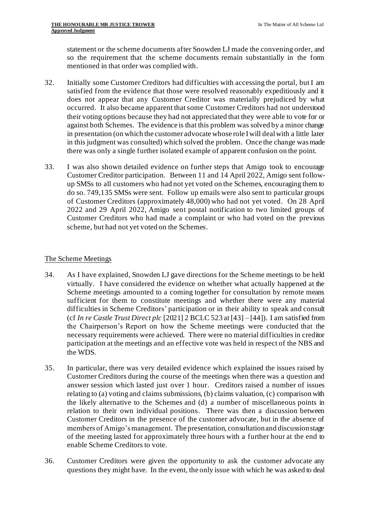statement or the scheme documents after Snowden LJ made the convening order, and so the requirement that the scheme documents remain substantially in the form mentioned in that order was complied with.

- 32. Initially some Customer Creditors had difficulties with accessing the portal, but I am satisfied from the evidence that those were resolved reasonably expeditiously and it does not appear that any Customer Creditor was materially prejudiced by what occurred. It also became apparent that some Customer Creditors had not understood their voting options because they had not appreciated that they were able to vote for or against both Schemes. The evidence is that this problem was solved by a minor change in presentation (on which the customer advocate whose role I will deal with a little later in this judgment was consulted) which solved the problem. Once the change was made there was only a single further isolated example of apparent confusion on the point.
- 33. I was also shown detailed evidence on further steps that Amigo took to encourage Customer Creditor participation. Between 11 and 14 April 2022, Amigo sent followup SMSs to all customers who had not yet voted on the Schemes, encouraging them to do so. 749,135 SMSs were sent. Follow up emails were also sent to particular groups of Customer Creditors (approximately 48,000) who had not yet voted. On 28 April 2022 and 29 April 2022, Amigo sent postal notification to two limited groups of Customer Creditors who had made a complaint or who had voted on the previous scheme, but had not yet voted on the Schemes.

## The Scheme Meetings

- 34. As I have explained, Snowden LJ gave directions for the Scheme meetings to be held virtually. I have considered the evidence on whether what actually happened at the Scheme meetings amounted to a coming together for consultation by remote means sufficient for them to constitute meetings and whether there were any material difficulties in Scheme Creditors' participation or in their ability to speak and consult (cf *In re Castle Trust Direct plc* [2021] 2 BCLC 523 at [43] – [44]). I am satisfied from the Chairperson's Report on how the Scheme meetings were conducted that the necessary requirements were achieved. There were no material difficulties in creditor participation at the meetings and an effective vote was held in respect of the NBS and the WDS.
- 35. In particular, there was very detailed evidence which explained the issues raised by Customer Creditors during the course of the meetings when there was a question and answer session which lasted just over 1 hour. Creditors raised a number of issues relating to (a) voting and claims submissions, (b) claims valuation, (c) comparison with the likely alternative to the Schemes and (d) a number of miscellaneous points in relation to their own individual positions. There was then a discussion between Customer Creditors in the presence of the customer advocate, but in the absence of members of Amigo's management. The presentation, consultation and discussion stage of the meeting lasted for approximately three hours with a further hour at the end to enable Scheme Creditors to vote.
- 36. Customer Creditors were given the opportunity to ask the customer advocate any questions they might have. In the event, the only issue with which he was asked to deal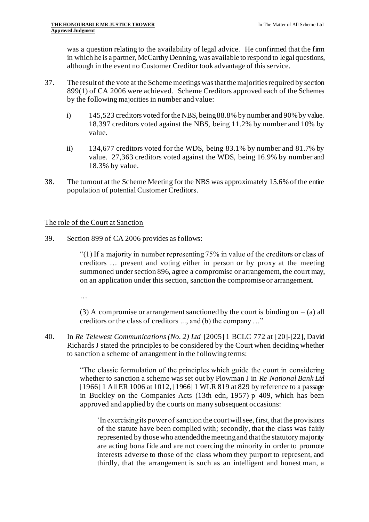was a question relating to the availability of legal advice. He confirmed that the firm in which he is a partner, McCarthy Denning, was available to respond to legal questions, although in the event no Customer Creditor took advantage of this service.

- 37. The result of the vote at the Scheme meetings was that the majorities required by section 899(1) of CA 2006 were achieved. Scheme Creditors approved each of the Schemes by the following majorities in number and value:
	- i) 145,523 creditors voted for the NBS, being 88.8% by number and 90% by value. 18,397 creditors voted against the NBS, being 11.2% by number and 10% by value.
	- ii) 134,677 creditors voted for the WDS, being 83.1% by number and 81.7% by value. 27,363 creditors voted against the WDS, being 16.9% by number and 18.3% by value.
- 38. The turnout at the Scheme Meeting for the NBS was approximately 15.6% of the entire population of potential Customer Creditors.

# The role of the Court at Sanction

39. Section 899 of CA 2006 provides as follows:

"(1) If a majority in number representing 75% in value of the creditors or class of creditors … present and voting either in person or by proxy at the meeting summoned under section 896, agree a compromise or arrangement, the court may, on an application under this section, sanction the compromise or arrangement.

…

(3) A compromise or arrangement sanctioned by the court is binding on  $-$  (a) all creditors or the class of creditors ..., and (b) the company …"

40. In *Re Telewest Communications (No. 2) Ltd* [2005] 1 BCLC 772 at [20]-[22], David Richards J stated the principles to be considered by the Court when deciding whether to sanction a scheme of arrangement in the following terms:

> "The classic formulation of the principles which guide the court in considering whether to sanction a scheme was set out by Plowman J in *Re National Bank Ltd* [1966] 1 All ER 1006 at 1012, [1966] 1 WLR 819 at 829 by reference to a passage in Buckley on the Companies Acts (13th edn, 1957) p 409, which has been approved and applied by the courts on many subsequent occasions:

'In exercising its power of sanction the court will see, first, that the provisions of the statute have been complied with; secondly, that the class was fairly represented by those who attended the meeting and that the statutory majority are acting bona fide and are not coercing the minority in order to promote interests adverse to those of the class whom they purport to represent, and thirdly, that the arrangement is such as an intelligent and honest man, a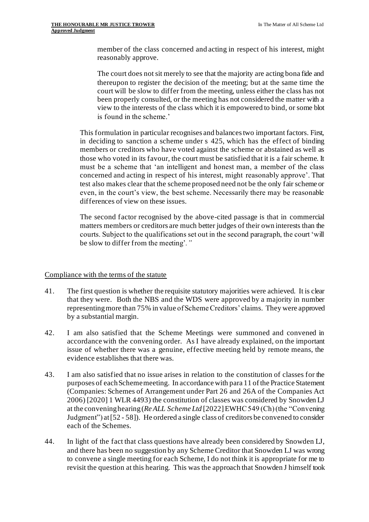member of the class concerned and acting in respect of his interest, might reasonably approve.

The court does not sit merely to see that the majority are acting bona fide and thereupon to register the decision of the meeting; but at the same time the court will be slow to differ from the meeting, unless either the class has not been properly consulted, or the meeting has not considered the matter with a view to the interests of the class which it is empowered to bind, or some blot is found in the scheme.'

This formulation in particular recognises and balances two important factors. First, in deciding to sanction a scheme under s 425, which has the effect of binding members or creditors who have voted against the scheme or abstained as well as those who voted in its favour, the court must be satisfied that it is a fair scheme. It must be a scheme that 'an intelligent and honest man, a member of the class concerned and acting in respect of his interest, might reasonably approve'. That test also makes clear that the scheme proposed need not be the only fair scheme or even, in the court's view, the best scheme. Necessarily there may be reasonable differences of view on these issues.

The second factor recognised by the above-cited passage is that in commercial matters members or creditors are much better judges of their own interests than the courts. Subject to the qualifications set out in the second paragraph, the court 'will be slow to differ from the meeting'*."*

### Compliance with the terms of the statute

- 41. The first question is whether the requisite statutory majorities were achieved. It is clear that they were. Both the NBS and the WDS were approved by a majority in number representing more than 75% in value of Scheme Creditors' claims. They were approved by a substantial margin.
- 42. I am also satisfied that the Scheme Meetings were summoned and convened in accordance with the convening order. As I have already explained, on the important issue of whether there was a genuine, effective meeting held by remote means, the evidence establishes that there was.
- 43. I am also satisfied that no issue arises in relation to the constitution of classes for the purposes of each Scheme meeting. In accordance with para 11 of the Practice Statement (Companies: Schemes of Arrangement under Part 26 and 26A of the Companies Act 2006) [2020] 1 WLR 4493) the constitution of classes was considered by Snowden LJ at the convening hearing (*Re ALL Scheme Ltd* [2022] EWHC 549 (Ch) (the "Convening Judgment") at [52 - 58]). He ordered a single class of creditors be convened to consider each of the Schemes.
- 44. In light of the fact that class questions have already been considered by Snowden LJ, and there has been no suggestion by any Scheme Creditor that Snowden LJ was wrong to convene a single meeting for each Scheme, I do not think it is appropriate for me to revisit the question at this hearing. This was the approach that Snowden J himself took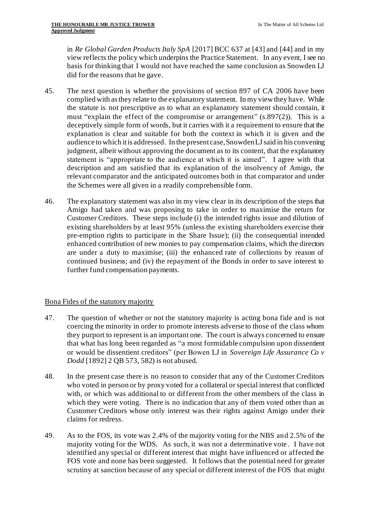in *Re Global Garden Products Italy SpA* [2017] BCC 637 at [43] and [44] and in my view reflects the policy which underpins the Practice Statement. In any event, I see no basis for thinking that I would not have reached the same conclusion as Snowden LJ did for the reasons that he gave.

- 45. The next question is whether the provisions of section 897 of CA 2006 have been complied with as they relate to the explanatory statement. In my view they have. While the statute is not prescriptive as to what an explanatory statement should contain, it must "explain the effect of the compromise or arrangement" (s.897(2)). This is a deceptively simple form of words, but it carries with it a requirement to ensure that the explanation is clear and suitable for both the context in which it is given and the audience to which it is addressed. In the present case, Snowden LJ said in his convening judgment, albeit without approving the document as to its content, that the explanatory statement is "appropriate to the audience at which it is aimed". I agree with that description and am satisfied that its explanation of the insolvency of Amigo, the relevant comparator and the anticipated outcomes both in that comparator and under the Schemes were all given in a readily comprehensible form.
- 46. The explanatory statement was also in my view clear in its description of the steps that Amigo had taken and was proposing to take in order to maximise the return for Customer Creditors. These steps include (i) the intended rights issue and dilution of existing shareholders by at least 95% (unless the existing shareholders exercise their pre-emption rights to participate in the Share Issue); (ii) the consequential intended enhanced contribution of new monies to pay compensation claims, which the directors are under a duty to maximise; (iii) the enhanced rate of collections by reason of continued business; and (iv) the repayment of the Bonds in order to save interest to further fund compensation payments.

### Bona Fides of the statutory majority

- 47. The question of whether or not the statutory majority is acting bona fide and is not coercing the minority in order to promote interests adverse to those of the class whom they purport to represent is an important one. The court is always concerned to ensure that what has long been regarded as "a most formidable compulsion upon dissentient or would be dissentient creditors" (per Bowen LJ in *Sovereign Life Assurance Co v Dodd* [1892] 2 QB 573, 582) is not abused.
- 48. In the present case there is no reason to consider that any of the Customer Creditors who voted in person or by proxy voted for a collateral or special interest that conflicted with, or which was additional to or different from the other members of the class in which they were voting. There is no indication that any of them voted other than as Customer Creditors whose only interest was their rights against Amigo under their claims for redress.
- 49. As to the FOS, its vote was 2.4% of the majority voting for the NBS and 2.5% of the majority voting for the WDS. As such, it was not a determinative vote. I have not identified any special or different interest that might have influenced or affected the FOS vote and none has been suggested. It follows that the potential need for greater scrutiny at sanction because of any special or different interest of the FOS that might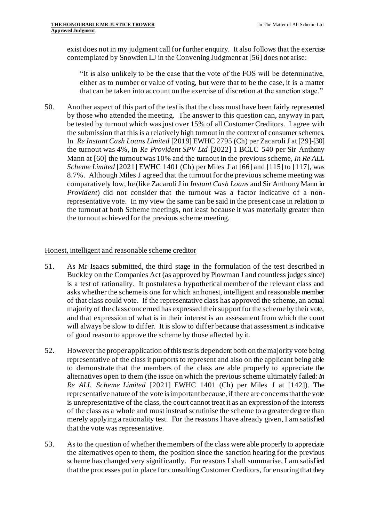exist does not in my judgment call for further enquiry. It also follows that the exercise contemplated by Snowden LJ in the Convening Judgment at [56] does not arise:

"It is also unlikely to be the case that the vote of the FOS will be determinative, either as to number or value of voting, but were that to be the case, it is a matter that can be taken into account on the exercise of discretion at the sanction stage."

50. Another aspect of this part of the test is that the class must have been fairly represented by those who attended the meeting. The answer to this question can, anyway in part, be tested by turnout which was just over 15% of all Customer Creditors. I agree with the submission that this is a relatively high turnout in the context of consumer schemes. In *Re Instant Cash Loans Limited* [2019] EWHC 2795 (Ch) per Zacaroli J at [29]-[30] the turnout was 4%, in *Re Provident SPV Ltd* [2022] 1 BCLC 540 per Sir Anthony Mann at [60] the turnout was 10% and the turnout in the previous scheme, *In Re ALL Scheme Limited* [2021] EWHC 1401 (Ch) per Miles J at [66] and [115] to [117], was 8.7%. Although Miles J agreed that the turnout for the previous scheme meeting was comparatively low, he (like Zacaroli J in *Instant Cash Loans* and Sir Anthony Mann in *Provident*) did not consider that the turnout was a factor indicative of a nonrepresentative vote. In my view the same can be said in the present case in relation to the turnout at both Scheme meetings, not least because it was materially greater than the turnout achieved for the previous scheme meeting.

### Honest, intelligent and reasonable scheme creditor

- 51. As Mr Isaacs submitted, the third stage in the formulation of the test described in Buckley on the Companies Act (as approved by Plowman J and countless judges since) is a test of rationality. It postulates a hypothetical member of the relevant class and asks whether the scheme is one for which an honest, intelligent and reasonable member of that class could vote. If the representative class has approved the scheme, an actual majority of the class concerned has expressed their support for the scheme by their vote, and that expression of what is in their interest is an assessment from which the court will always be slow to differ. It is slow to differ because that assessment is indicative of good reason to approve the scheme by those affected by it.
- 52. However the proper application of this test is dependent both on the majority vote being representative of the class it purports to represent and also on the applicant being able to demonstrate that the members of the class are able properly to appreciate the alternatives open to them (the issue on which the previous scheme ultimately failed: *In Re ALL Scheme Limited* [2021] EWHC 1401 (Ch) per Miles J at [142]). The representative nature of the vote is important because, if there are concerns that the vote is unrepresentative of the class, the court cannot treat it as an expression of the interests of the class as a whole and must instead scrutinise the scheme to a greater degree than merely applying a rationality test. For the reasons I have already given, I am satisfied that the vote was representative.
- 53. As to the question of whether the members of the class were able properly to appreciate the alternatives open to them, the position since the sanction hearing for the previous scheme has changed very significantly. For reasons I shall summarise, I am satisfied that the processes put in place for consulting Customer Creditors, for ensuring that they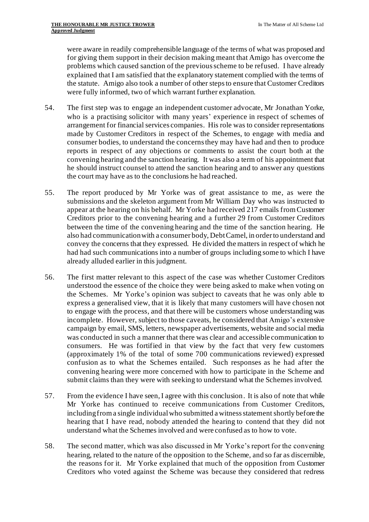were aware in readily comprehensible language of the terms of what was proposed and for giving them support in their decision making meant that Amigo has overcome the problems which caused sanction of the previous scheme to be refused. I have already explained that I am satisfied that the explanatory statement complied with the terms of the statute. Amigo also took a number of other steps to ensure that Customer Creditors were fully informed, two of which warrant further explanation.

- 54. The first step was to engage an independent customer advocate, Mr Jonathan Yorke, who is a practising solicitor with many years' experience in respect of schemes of arrangement for financial services companies. His role was to consider representations made by Customer Creditors in respect of the Schemes, to engage with media and consumer bodies, to understand the concerns they may have had and then to produce reports in respect of any objections or comments to assist the court both at the convening hearing and the sanction hearing. It was also a term of his appointment that he should instruct counsel to attend the sanction hearing and to answer any questions the court may have as to the conclusions he had reached.
- 55. The report produced by Mr Yorke was of great assistance to me, as were the submissions and the skeleton argument from Mr William Day who was instructed to appear at the hearing on his behalf. Mr Yorke had received 217 emails from Customer Creditors prior to the convening hearing and a further 29 from Customer Creditors between the time of the convening hearing and the time of the sanction hearing. He also had communication with a consumer body, Debt Camel, in order to understand and convey the concerns that they expressed. He divided the matters in respect of which he had had such communications into a number of groups including some to which I have already alluded earlier in this judgment.
- 56. The first matter relevant to this aspect of the case was whether Customer Creditors understood the essence of the choice they were being asked to make when voting on the Schemes. Mr Yorke's opinion was subject to caveats that he was only able to express a generalised view, that it is likely that many customers will have chosen not to engage with the process, and that there will be customers whose understanding was incomplete. However, subject to those caveats, he considered that Amigo's extensive campaign by email, SMS, letters, newspaper advertisements, website and social media was conducted in such a manner that there was clear and accessible communication to consumers. He was fortified in that view by the fact that very few customers (approximately 1% of the total of some 700 communications reviewed) expressed confusion as to what the Schemes entailed. Such responses as he had after the convening hearing were more concerned with how to participate in the Scheme and submit claims than they were with seeking to understand what the Schemes involved.
- 57. From the evidence I have seen, I agree with this conclusion. It is also of note that while Mr Yorke has continued to receive communications from Customer Creditors, including from a single individual who submitted a witness statement shortly before the hearing that I have read, nobody attended the hearing to contend that they did not understand what the Schemes involved and were confused as to how to vote.
- 58. The second matter, which was also discussed in Mr Yorke's report for the convening hearing, related to the nature of the opposition to the Scheme, and so far as discernible, the reasons for it. Mr Yorke explained that much of the opposition from Customer Creditors who voted against the Scheme was because they considered that redress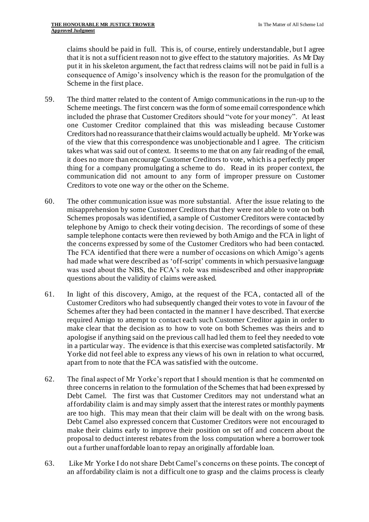claims should be paid in full. This is, of course, entirely understandable, but I agree that it is not a sufficient reason not to give effect to the statutory majorities. As Mr Day put it in his skeleton argument, the fact that redress claims will not be paid in full is a consequence of Amigo's insolvency which is the reason for the promulgation of the Scheme in the first place.

- 59. The third matter related to the content of Amigo communications in the run-up to the Scheme meetings. The first concern was the form of some email correspondence which included the phrase that Customer Creditors should "vote for your money". At least one Customer Creditor complained that this was misleading because Customer Creditors had no reassurance that their claims would actually be upheld. Mr Yorke was of the view that this correspondence was unobjectionable and I agree. The criticism takes what was said out of context. It seems to me that on any fair reading of the email, it does no more than encourage Customer Creditors to vote, which is a perfectly proper thing for a company promulgating a scheme to do. Read in its proper context, the communication did not amount to any form of improper pressure on Customer Creditors to vote one way or the other on the Scheme.
- 60. The other communication issue was more substantial. After the issue relating to the misapprehension by some Customer Creditors that they were not able to vote on both Schemes proposals was identified, a sample of Customer Creditors were contacted by telephone by Amigo to check their voting decision. The recordings of some of these sample telephone contacts were then reviewed by both Amigo and the FCA in light of the concerns expressed by some of the Customer Creditors who had been contacted. The FCA identified that there were a number of occasions on which Amigo's agents had made what were described as 'off-script' comments in which persuasive language was used about the NBS, the FCA's role was misdescribed and other inappropriate questions about the validity of claims were asked.
- 61. In light of this discovery, Amigo, at the request of the FCA, contacted all of the Customer Creditors who had subsequently changed their votes to vote in favour of the Schemes after they had been contacted in the manner I have described. That exercise required Amigo to attempt to contact each such Customer Creditor again in order to make clear that the decision as to how to vote on both Schemes was theirs and to apologise if anything said on the previous call had led them to feel they needed to vote in a particular way. The evidence is that this exercise was completed satisfactorily. Mr Yorke did not feel able to express any views of his own in relation to what occurred, apart from to note that the FCA was satisfied with the outcome.
- 62. The final aspect of Mr Yorke's report that I should mention is that he commented on three concerns in relation to the formulation of the Schemes that had been expressed by Debt Camel. The first was that Customer Creditors may not understand what an affordability claim is and may simply assert that the interest rates or monthly payments are too high. This may mean that their claim will be dealt with on the wrong basis. Debt Camel also expressed concern that Customer Creditors were not encouraged to make their claims early to improve their position on set off and concern about the proposal to deduct interest rebates from the loss computation where a borrower took out a further unaffordable loan to repay an originally affordable loan.
- 63. Like Mr Yorke I do not share Debt Camel's concerns on these points. The concept of an affordability claim is not a difficult one to grasp and the claims process is clearly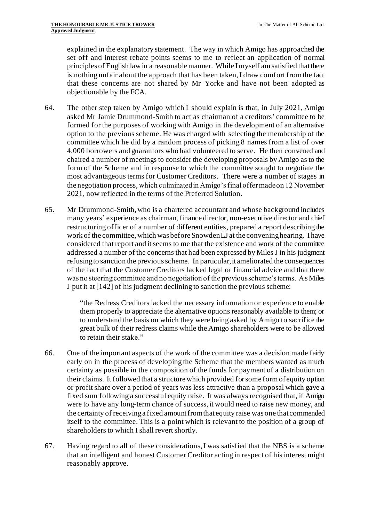explained in the explanatory statement. The way in which Amigo has approached the set off and interest rebate points seems to me to reflect an application of normal principles of English law in a reasonable manner. While I myself am satisfied that there is nothing unfair about the approach that has been taken, I draw comfort from the fact that these concerns are not shared by Mr Yorke and have not been adopted as objectionable by the FCA.

- 64. The other step taken by Amigo which I should explain is that, in July 2021, Amigo asked Mr Jamie Drummond-Smith to act as chairman of a creditors' committee to be formed for the purposes of working with Amigo in the development of an alternative option to the previous scheme. He was charged with selecting the membership of the committee which he did by a random process of picking 8 names from a list of over 4,000 borrowers and guarantors who had volunteered to serve. He then convened and chaired a number of meetings to consider the developing proposals by Amigo as to the form of the Scheme and in response to which the committee sought to negotiate the most advantageous terms for Customer Creditors. There were a number of stages in the negotiation process, which culminated in Amigo's final offer made on 12 November 2021, now reflected in the terms of the Preferred Solution.
- 65. Mr Drummond-Smith, who is a chartered accountant and whose background includes many years' experience as chairman, finance director, non-executive director and chief restructuring officer of a number of different entities, prepared a report describing the work of the committee, which was before Snowden LJ at the convening hearing. I have considered that report and it seems to me that the existence and work of the committee addressed a number of the concerns that had been expressed by Miles J in his judgment refusing to sanction the previous scheme. In particular, it ameliorated the consequences of the fact that the Customer Creditors lacked legal or financial advice and that there was no steering committee and no negotiation of the previous scheme's terms. As Miles J put it at [142] of his judgment declining to sanction the previous scheme:

"the Redress Creditors lacked the necessary information or experience to enable them properly to appreciate the alternative options reasonably available to them; or to understand the basis on which they were being asked by Amigo to sacrifice the great bulk of their redress claims while the Amigo shareholders were to be allowed to retain their stake."

- 66. One of the important aspects of the work of the committee was a decision made fairly early on in the process of developing the Scheme that the members wanted as much certainty as possible in the composition of the funds for payment of a distribution on their claims. It followed that a structure which provided for some form of equity option or profit share over a period of years was less attractive than a proposal which gave a fixed sum following a successful equity raise. It was always recognised that, if Amigo were to have any long-term chance of success, it would need to raise new money, and the certainty of receiving a fixed amount from that equity raise was one that commended itself to the committee. This is a point which is relevant to the position of a group of shareholders to which I shall revert shortly.
- 67. Having regard to all of these considerations, I was satisfied that the NBS is a scheme that an intelligent and honest Customer Creditor acting in respect of his interest might reasonably approve.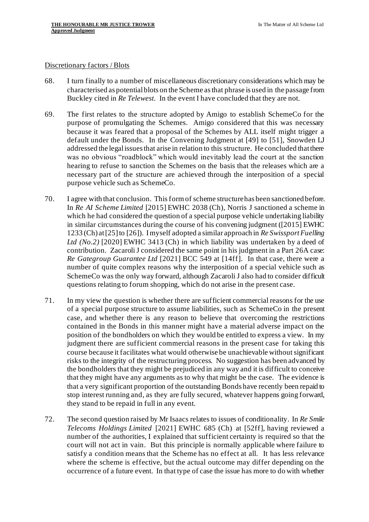#### Discretionary factors / Blots

- 68. I turn finally to a number of miscellaneous discretionary considerations which may be characterised as potential blots on the Scheme as that phrase is used in the passage from Buckley cited in *Re Telewest*. In the event I have concluded that they are not.
- 69. The first relates to the structure adopted by Amigo to establish SchemeCo for the purpose of promulgating the Schemes. Amigo considered that this was necessary because it was feared that a proposal of the Schemes by ALL itself might trigger a default under the Bonds. In the Convening Judgment at [49] to [51], Snowden LJ addressed the legal issues that arise in relation to this structure. He concluded that there was no obvious "roadblock" which would inevitably lead the court at the sanction hearing to refuse to sanction the Schemes on the basis that the releases which are a necessary part of the structure are achieved through the interposition of a special purpose vehicle such as SchemeCo.
- 70. I agree with that conclusion. This form of scheme structure has been sanctioned before. In *Re AI Scheme Limited* [2015] EWHC 2038 (Ch), Norris J sanctioned a scheme in which he had considered the question of a special purpose vehicle undertaking liability in similar circumstances during the course of his convening judgment ([2015] EWHC 1233 (Ch) at [25] to [26]). I myself adopted a similar approach in *Re SwissportFuelling Ltd (No.2)* [2020] EWHC 3413 (Ch) in which liability was undertaken by a deed of contribution. Zacaroli J considered the same point in his judgment in a Part 26A case: *Re Gategroup Guarantee Ltd* [2021] BCC 549 at [14ff]. In that case, there were a number of quite complex reasons why the interposition of a special vehicle such as SchemeCo was the only way forward, although Zacaroli J also had to consider difficult questions relating to forum shopping, which do not arise in the present case.
- 71. In my view the question is whether there are sufficient commercial reasons for the use of a special purpose structure to assume liabilities, such as SchemeCo in the present case, and whether there is any reason to believe that overcoming the restrictions contained in the Bonds in this manner might have a material adverse impact on the position of the bondholders on which they would be entitled to express a view. In my judgment there are sufficient commercial reasons in the present case for taking this course because it facilitates what would otherwise be unachievable without significant risks to the integrity of the restructuring process. No suggestion has been advanced by the bondholders that they might be prejudiced in any way and it is difficult to conceive that they might have any arguments as to why that might be the case. The evidence is that a very significant proportion of the outstanding Bonds have recently been repaid to stop interest running and, as they are fully secured, whatever happens going forward, they stand to be repaid in full in any event.
- 72. The second question raised by Mr Isaacs relates to issues of conditionality. In *Re Smile Telecoms Holdings Limited* [2021] EWHC 685 (Ch) at [52ff], having reviewed a number of the authorities, I explained that sufficient certainty is required so that the court will not act in vain. But this principle is normally applicable where failure to satisfy a condition means that the Scheme has no effect at all. It has less relevance where the scheme is effective, but the actual outcome may differ depending on the occurrence of a future event. In that type of case the issue has more to do with whether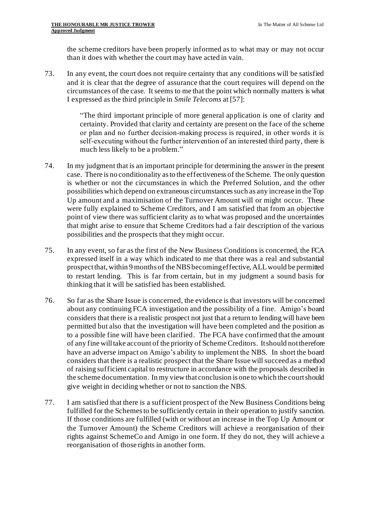the scheme creditors have been properly informed as to what may or may not occur than it does with whether the court may have acted in vain.

73. In any event, the court does not require certainty that any conditions will be satisfied and it is clear that the degree of assurance that the court requires will depend on the circumstances of the case. It seems to me that the point which normally matters is what I expressed as the third principle in *Smile Telecoms* at [57]:

> "The third important principle of more general application is one of clarity and certainty. Provided that clarity and certainty are present on the face of the scheme or plan and no further decision-making process is required, in other words it is self-executing without the further intervention of an interested third party, there is much less likely to be a problem."

- 74. In my judgment that is an important principle for determining the answer in the present case. There is no conditionality as to the effectiveness of the Scheme. The only question is whether or not the circumstances in which the Preferred Solution, and the other possibilities which depend on extraneous circumstances such as any increase in the Top Up amount and a maximisation of the Turnover Amount will or might occur. These were fully explained to Scheme Creditors, and I am satisfied that from an objective point of view there was sufficient clarity as to what was proposed and the uncertainties that might arise to ensure that Scheme Creditors had a fair description of the various possibilities and the prospects that they might occur.
- 75. In any event, so far as the first of the New Business Conditions is concerned, the FCA expressed itself in a way which indicated to me that there was a real and substantial prospect that, within 9 months of the NBS becoming effective, ALL would be permitted to restart lending. This is far from certain, but in my judgment a sound basis for thinking that it will be satisfied has been established.
- 76. So far as the Share Issue is concerned, the evidence is that investors will be concerned about any continuing FCA investigation and the possibility of a fine. Amigo's board considers that there is a realistic prospect not just that a return to lending will have been permitted but also that the investigation will have been completed and the position as to a possible fine will have been clarified. The FCA have confirmed that the amount of any fine will take account of the priority of Scheme Creditors. It should not therefore have an adverse impact on Amigo's ability to implement the NBS. In short the board considers that there is a realistic prospect that the Share Issue will succeed as a method of raising sufficient capital to restructure in accordance with the proposals described in the scheme documentation. In my view that conclusion is one to which the court should give weight in deciding whether or not to sanction the NBS.
- 77. I am satisfied that there is a sufficient prospect of the New Business Conditions being fulfilled for the Schemes to be sufficiently certain in their operation to justify sanction. If those conditions are fulfilled (with or without an increase in the Top Up Amount or the Turnover Amount) the Scheme Creditors will achieve a reorganisation of their rights against SchemeCo and Amigo in one form. If they do not, they will achieve a reorganisation of those rights in another form.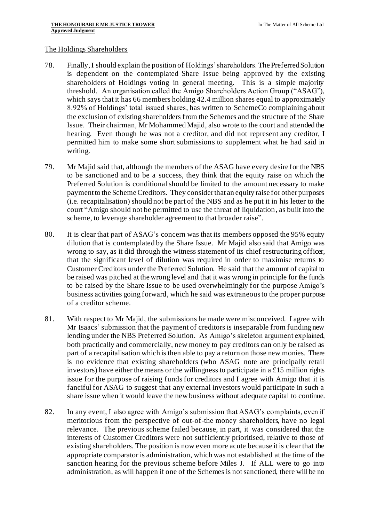#### The Holdings Shareholders

- 78. Finally, I should explain the position of Holdings' shareholders. The Preferred Solution is dependent on the contemplated Share Issue being approved by the existing shareholders of Holdings voting in general meeting. This is a simple majority threshold. An organisation called the Amigo Shareholders Action Group ("ASAG"), which says that it has 66 members holding 42.4 million shares equal to approximately 8.92% of Holdings' total issued shares, has written to SchemeCo complaining about the exclusion of existing shareholders from the Schemes and the structure of the Share Issue. Their chairman, Mr Mohammed Majid, also wrote to the court and attended the hearing. Even though he was not a creditor, and did not represent any creditor, I permitted him to make some short submissions to supplement what he had said in writing.
- 79. Mr Majid said that, although the members of the ASAG have every desire for the NBS to be sanctioned and to be a success, they think that the equity raise on which the Preferred Solution is conditional should be limited to the amount necessary to make payment to the Scheme Creditors. They consider that an equity raise for other purposes (i.e. recapitalisation) should not be part of the NBS and as he put it in his letter to the court "Amigo should not be permitted to use the threat of liquidation, as built into the scheme, to leverage shareholder agreement to that broader raise".
- 80. It is clear that part of ASAG's concern was that its members opposed the 95% equity dilution that is contemplated by the Share Issue. Mr Majid also said that Amigo was wrong to say, as it did through the witness statement of its chief restructuring officer, that the significant level of dilution was required in order to maximise returns to Customer Creditors under the Preferred Solution. He said that the amount of capital to be raised was pitched at the wrong level and that it was wrong in principle for the funds to be raised by the Share Issue to be used overwhelmingly for the purpose Amigo's business activities going forward, which he said was extraneous to the proper purpose of a creditor scheme.
- 81. With respect to Mr Majid, the submissions he made were misconceived. I agree with Mr Isaacs' submission that the payment of creditors is inseparable from funding new lending under the NBS Preferred Solution. As Amigo's skeleton argument explained, both practically and commercially, new money to pay creditors can only be raised as part of a recapitalisation which is then able to pay a return on those new monies. There is no evidence that existing shareholders (who ASAG note are principally retail investors) have either the means or the willingness to participate in a £15 million rights issue for the purpose of raising funds for creditors and I agree with Amigo that it is fanciful for ASAG to suggest that any external investors would participate in such a share issue when it would leave the new business without adequate capital to continue.
- 82. In any event, I also agree with Amigo's submission that ASAG's complaints, even if meritorious from the perspective of out-of-the money shareholders, have no legal relevance. The previous scheme failed because, in part, it was considered that the interests of Customer Creditors were not sufficiently prioritised, relative to those of existing shareholders. The position is now even more acute because it is clear that the appropriate comparator is administration, which was not established at the time of the sanction hearing for the previous scheme before Miles J. If ALL were to go into administration, as will happen if one of the Schemes is not sanctioned, there will be no